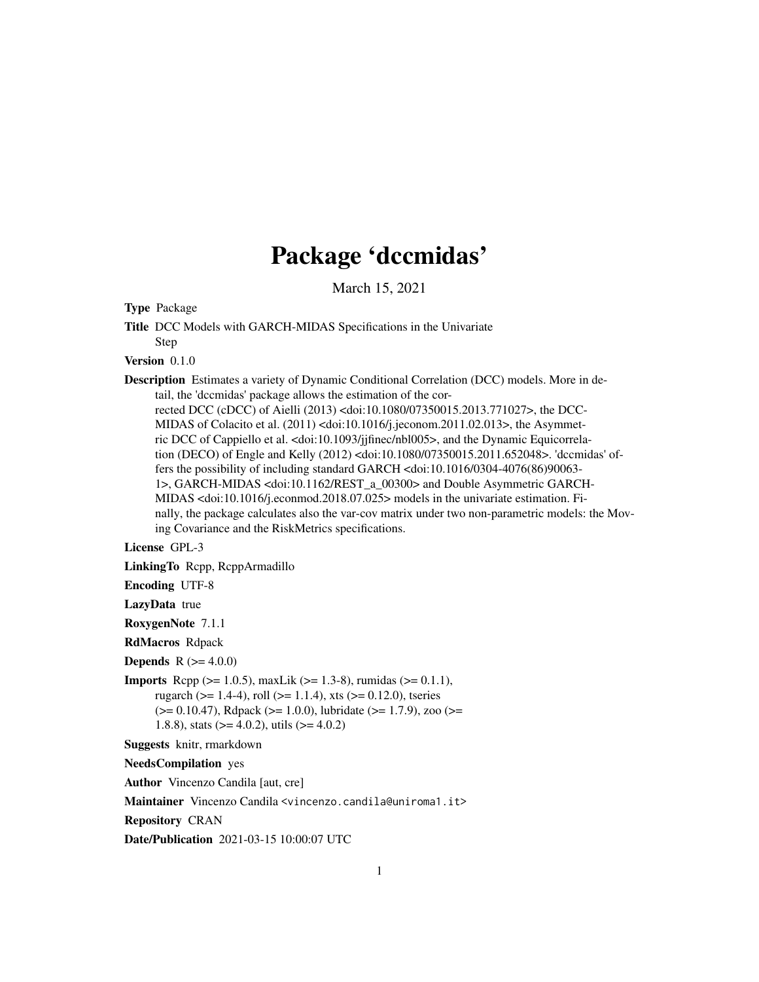# Package 'dccmidas'

March 15, 2021

<span id="page-0-0"></span>Type Package

Title DCC Models with GARCH-MIDAS Specifications in the Univariate

Step

Version 0.1.0

Description Estimates a variety of Dynamic Conditional Correlation (DCC) models. More in detail, the 'dccmidas' package allows the estimation of the cor-

rected DCC (cDCC) of Aielli (2013) <doi:10.1080/07350015.2013.771027>, the DCC-MIDAS of Colacito et al. (2011) <doi:10.1016/j.jeconom.2011.02.013>, the Asymmetric DCC of Cappiello et al. <doi:10.1093/jjfinec/nbl005>, and the Dynamic Equicorrelation (DECO) of Engle and Kelly (2012) <doi:10.1080/07350015.2011.652048>. 'dccmidas' offers the possibility of including standard GARCH <doi:10.1016/0304-4076(86)90063- 1>, GARCH-MIDAS <doi:10.1162/REST\_a\_00300> and Double Asymmetric GARCH-MIDAS <doi:10.1016/j.econmod.2018.07.025> models in the univariate estimation. Finally, the package calculates also the var-cov matrix under two non-parametric models: the Moving Covariance and the RiskMetrics specifications.

License GPL-3

LinkingTo Rcpp, RcppArmadillo

Encoding UTF-8

LazyData true

RoxygenNote 7.1.1

RdMacros Rdpack

**Depends**  $R (= 4.0.0)$ 

**Imports** Rcpp ( $>= 1.0.5$ ), maxLik ( $>= 1.3-8$ ), rumidas ( $>= 0.1.1$ ), rugarch ( $>= 1.4-4$ ), roll ( $>= 1.1.4$ ), xts ( $>= 0.12.0$ ), tseries (>= 0.10.47), Rdpack (>= 1.0.0), lubridate (>= 1.7.9), zoo (>= 1.8.8), stats ( $>= 4.0.2$ ), utils ( $>= 4.0.2$ )

Suggests knitr, rmarkdown

NeedsCompilation yes

Author Vincenzo Candila [aut, cre]

Maintainer Vincenzo Candila <vincenzo.candila@uniroma1.it>

Repository CRAN

Date/Publication 2021-03-15 10:00:07 UTC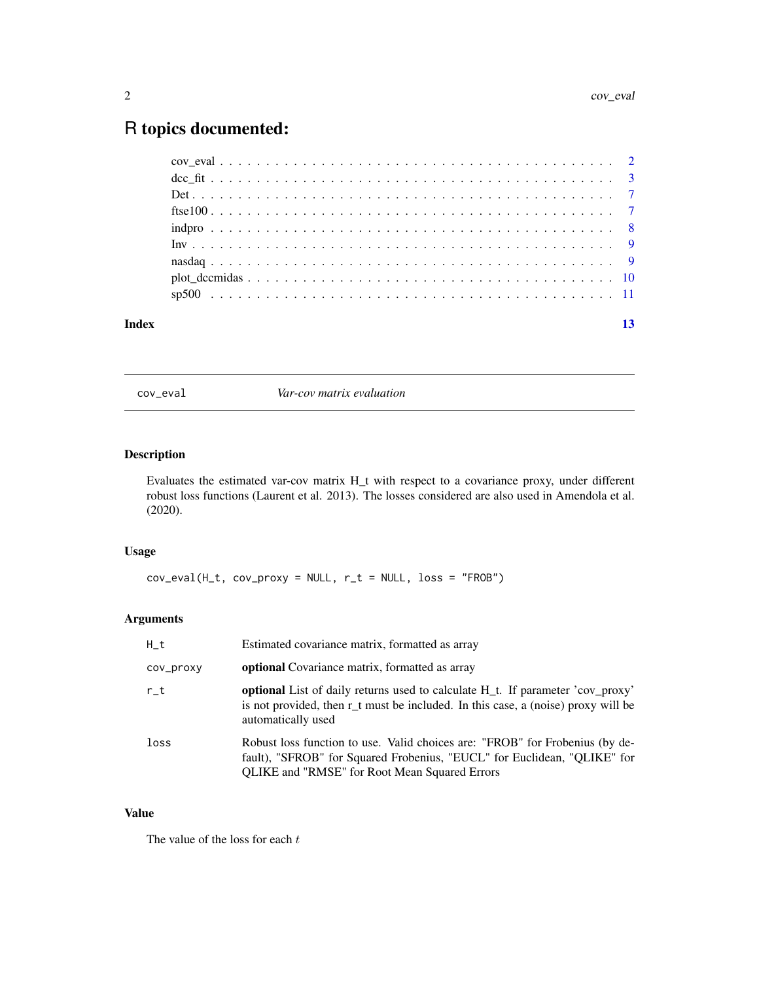## <span id="page-1-0"></span>R topics documented:

| Index |              |  |  |  |  |  |  |  |  |  |  |  |  |  |  |  |  |  |
|-------|--------------|--|--|--|--|--|--|--|--|--|--|--|--|--|--|--|--|--|
|       |              |  |  |  |  |  |  |  |  |  |  |  |  |  |  |  |  |  |
|       |              |  |  |  |  |  |  |  |  |  |  |  |  |  |  |  |  |  |
|       |              |  |  |  |  |  |  |  |  |  |  |  |  |  |  |  |  |  |
|       |              |  |  |  |  |  |  |  |  |  |  |  |  |  |  |  |  |  |
|       |              |  |  |  |  |  |  |  |  |  |  |  |  |  |  |  |  |  |
|       | ftse $100$ 7 |  |  |  |  |  |  |  |  |  |  |  |  |  |  |  |  |  |
|       |              |  |  |  |  |  |  |  |  |  |  |  |  |  |  |  |  |  |
|       |              |  |  |  |  |  |  |  |  |  |  |  |  |  |  |  |  |  |
|       |              |  |  |  |  |  |  |  |  |  |  |  |  |  |  |  |  |  |

cov\_eval *Var-cov matrix evaluation*

#### Description

Evaluates the estimated var-cov matrix H\_t with respect to a covariance proxy, under different robust loss functions (Laurent et al. 2013). The losses considered are also used in Amendola et al. (2020).

#### Usage

 $cov\_eval(H_t, cov\_proxy = NULL, r_t = NULL, loss = "FROB")$ 

#### Arguments

| $H_t$     | Estimated covariance matrix, formatted as array                                                                                                                                                                  |
|-----------|------------------------------------------------------------------------------------------------------------------------------------------------------------------------------------------------------------------|
| cov_proxy | <b>optional</b> Covariance matrix, formatted as array                                                                                                                                                            |
| $r_t$     | <b>optional</b> List of daily returns used to calculate H <sub>_t</sub> . If parameter 'cov_proxy'<br>is not provided, then $r_t$ must be included. In this case, a (noise) proxy will be<br>automatically used  |
| loss      | Robust loss function to use. Valid choices are: "FROB" for Frobenius (by de-<br>fault), "SFROB" for Squared Frobenius, "EUCL" for Euclidean, "QLIKE" for<br><b>QLIKE</b> and "RMSE" for Root Mean Squared Errors |

#### Value

The value of the loss for each  $t$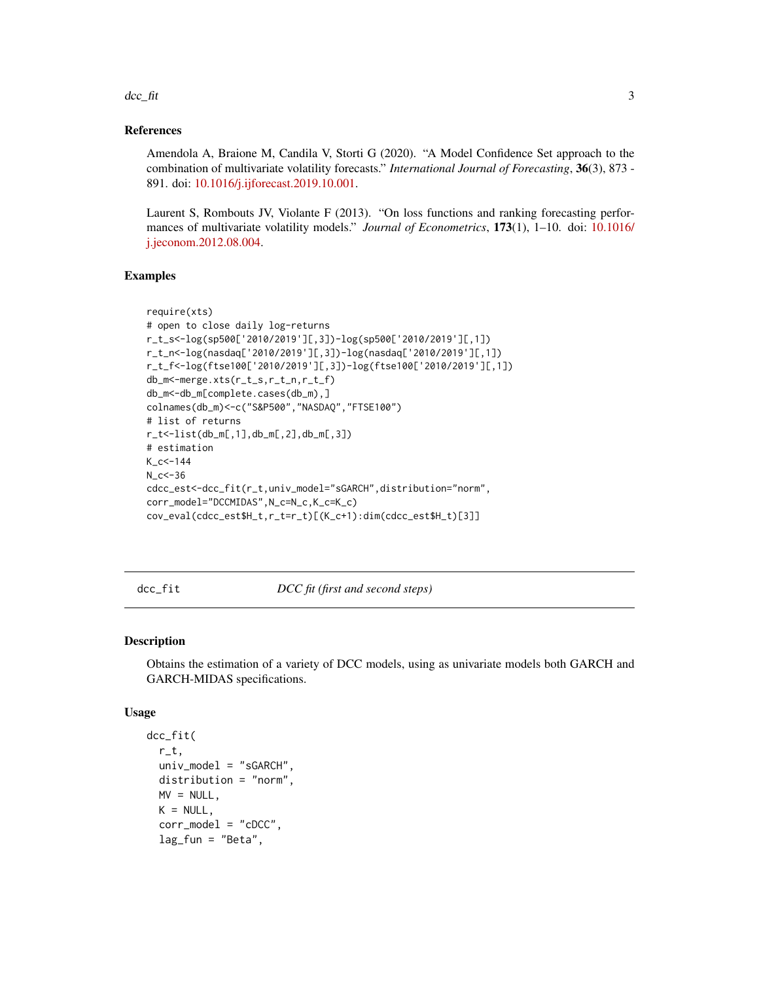#### <span id="page-2-0"></span> $\frac{dcc_{\text{r}}}{dt}$  3

#### References

Amendola A, Braione M, Candila V, Storti G (2020). "A Model Confidence Set approach to the combination of multivariate volatility forecasts." *International Journal of Forecasting*, 36(3), 873 - 891. doi: [10.1016/j.ijforecast.2019.10.001.](https://doi.org/10.1016/j.ijforecast.2019.10.001)

Laurent S, Rombouts JV, Violante F (2013). "On loss functions and ranking forecasting performances of multivariate volatility models." *Journal of Econometrics*, 173(1), 1–10. doi: [10.1016/](https://doi.org/10.1016/j.jeconom.2012.08.004) [j.jeconom.2012.08.004.](https://doi.org/10.1016/j.jeconom.2012.08.004)

#### Examples

```
require(xts)
# open to close daily log-returns
r_t_s<-log(sp500['2010/2019'][,3])-log(sp500['2010/2019'][,1])
r_t_n<-log(nasdaq['2010/2019'][,3])-log(nasdaq['2010/2019'][,1])
r_t_f<-log(ftse100['2010/2019'][,3])-log(ftse100['2010/2019'][,1])
db_m<-merge.xts(r_t_s,r_t_n,r_t_f)
db_m<-db_m[complete.cases(db_m),]
colnames(db_m)<-c("S&P500","NASDAQ","FTSE100")
# list of returns
r_t<-list(db_m[,1],db_m[,2],db_m[,3])
# estimation
K_c < -144N_c<-36
cdcc_est<-dcc_fit(r_t,univ_model="sGARCH",distribution="norm",
corr_model="DCCMIDAS",N_c=N_c,K_c=K_c)
cov_eval(cdcc_est$H_t,r_t=r_t)[(K_c+1):dim(cdcc_est$H_t)[3]]
```
<span id="page-2-1"></span>dcc\_fit *DCC fit (first and second steps)*

#### Description

Obtains the estimation of a variety of DCC models, using as univariate models both GARCH and GARCH-MIDAS specifications.

#### Usage

```
dcc_fit(
  r_t,
  univ_model = "sGARCH",
 distribution = "norm",
 MV = NULL,
 K = NULL,corr_model = "cDCC",
  lag_fun = "Beta",
```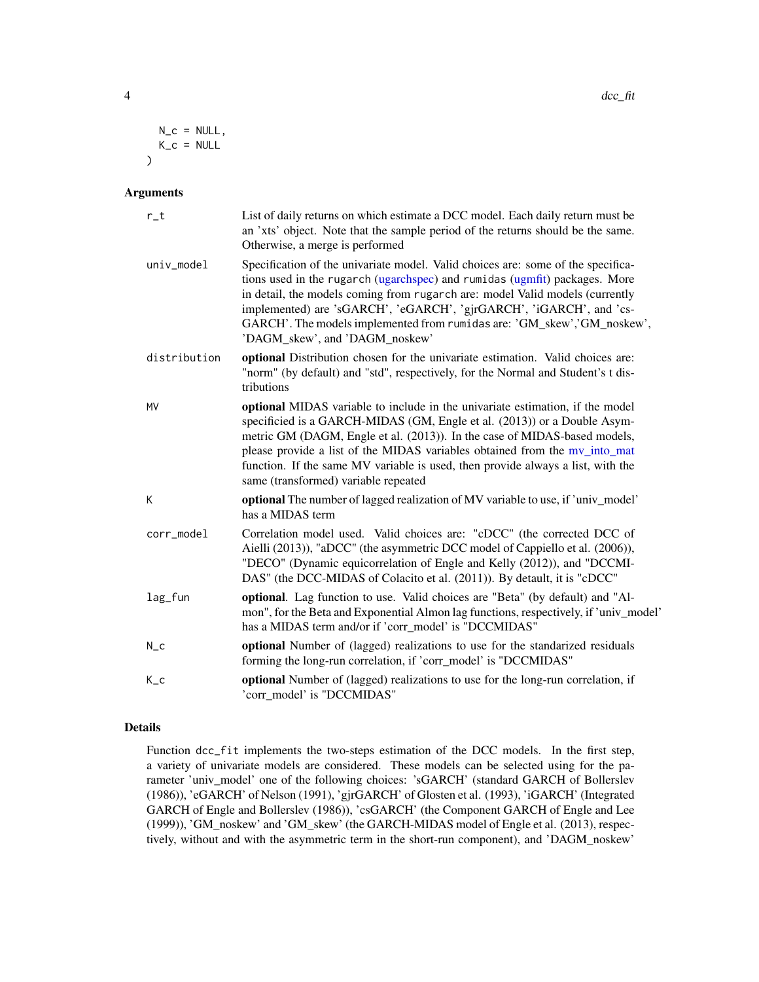<span id="page-3-0"></span>
$$
N_{C} = NULL,K_{C} = NULL
$$

#### Arguments

| $r_t$        | List of daily returns on which estimate a DCC model. Each daily return must be<br>an 'xts' object. Note that the sample period of the returns should be the same.<br>Otherwise, a merge is performed                                                                                                                                                                                                                                            |
|--------------|-------------------------------------------------------------------------------------------------------------------------------------------------------------------------------------------------------------------------------------------------------------------------------------------------------------------------------------------------------------------------------------------------------------------------------------------------|
| univ_model   | Specification of the univariate model. Valid choices are: some of the specifica-<br>tions used in the rugarch (ugarchspec) and rumidas (ugmfit) packages. More<br>in detail, the models coming from rugarch are: model Valid models (currently<br>implemented) are 'sGARCH', 'eGARCH', 'gjrGARCH', 'iGARCH', and 'cs-<br>GARCH'. The models implemented from rumidas are: 'GM_skew','GM_noskew',<br>'DAGM_skew', and 'DAGM_noskew'              |
| distribution | optional Distribution chosen for the univariate estimation. Valid choices are:<br>"norm" (by default) and "std", respectively, for the Normal and Student's t dis-<br>tributions                                                                                                                                                                                                                                                                |
| <b>MV</b>    | optional MIDAS variable to include in the univariate estimation, if the model<br>specificied is a GARCH-MIDAS (GM, Engle et al. (2013)) or a Double Asym-<br>metric GM (DAGM, Engle et al. (2013)). In the case of MIDAS-based models,<br>please provide a list of the MIDAS variables obtained from the mv_into_mat<br>function. If the same MV variable is used, then provide always a list, with the<br>same (transformed) variable repeated |
| К            | optional The number of lagged realization of MV variable to use, if 'univ_model'<br>has a MIDAS term                                                                                                                                                                                                                                                                                                                                            |
| corr_model   | Correlation model used. Valid choices are: "cDCC" (the corrected DCC of<br>Aielli (2013)), "aDCC" (the asymmetric DCC model of Cappiello et al. (2006)),<br>"DECO" (Dynamic equicorrelation of Engle and Kelly (2012)), and "DCCMI-<br>DAS" (the DCC-MIDAS of Colacito et al. (2011)). By detault, it is "cDCC"                                                                                                                                 |
| lag_fun      | optional. Lag function to use. Valid choices are "Beta" (by default) and "Al-<br>mon", for the Beta and Exponential Almon lag functions, respectively, if 'univ_model'<br>has a MIDAS term and/or if 'corr_model' is "DCCMIDAS"                                                                                                                                                                                                                 |
| $N_{C}$      | optional Number of (lagged) realizations to use for the standarized residuals<br>forming the long-run correlation, if 'corr_model' is "DCCMIDAS"                                                                                                                                                                                                                                                                                                |
| $K_{-}c$     | optional Number of (lagged) realizations to use for the long-run correlation, if<br>'corr_model' is "DCCMIDAS"                                                                                                                                                                                                                                                                                                                                  |

#### Details

Function dcc\_fit implements the two-steps estimation of the DCC models. In the first step, a variety of univariate models are considered. These models can be selected using for the parameter 'univ\_model' one of the following choices: 'sGARCH' (standard GARCH of Bollerslev (1986)), 'eGARCH' of Nelson (1991), 'gjrGARCH' of Glosten et al. (1993), 'iGARCH' (Integrated GARCH of Engle and Bollerslev (1986)), 'csGARCH' (the Component GARCH of Engle and Lee (1999)), 'GM\_noskew' and 'GM\_skew' (the GARCH-MIDAS model of Engle et al. (2013), respectively, without and with the asymmetric term in the short-run component), and 'DAGM\_noskew'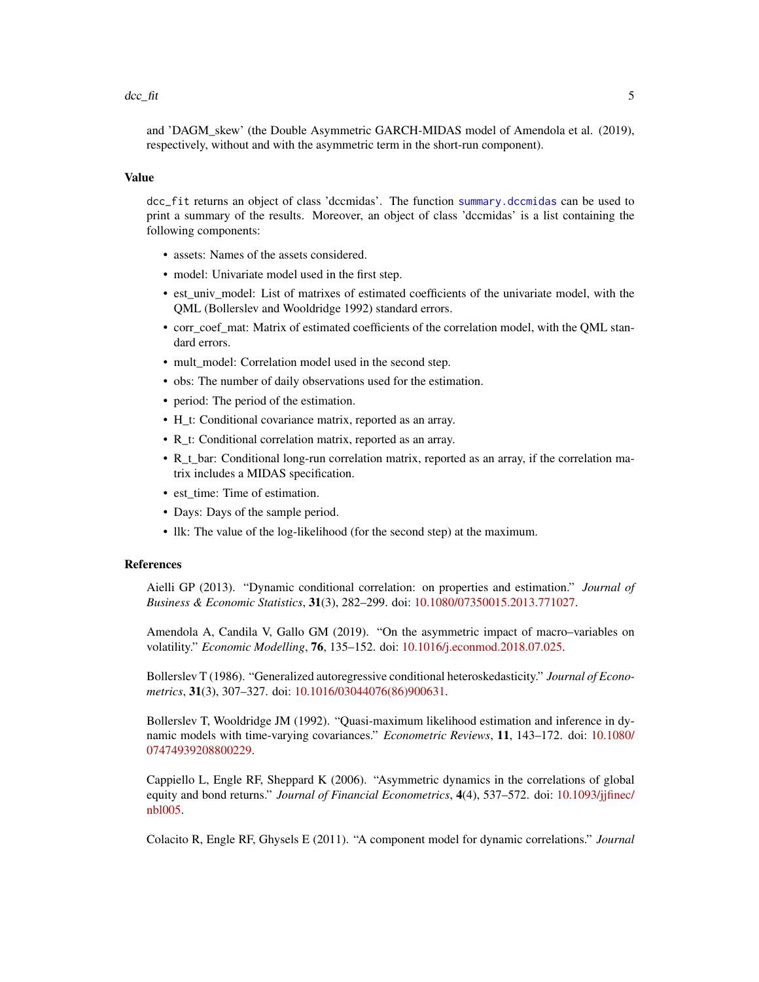#### <span id="page-4-0"></span> $\frac{dcc_{\text{r}}}{dt}$  5

and 'DAGM\_skew' (the Double Asymmetric GARCH-MIDAS model of Amendola et al. (2019), respectively, without and with the asymmetric term in the short-run component).

#### Value

dcc\_fit returns an object of class 'dccmidas'. The function [summary.dccmidas](#page-0-0) can be used to print a summary of the results. Moreover, an object of class 'dccmidas' is a list containing the following components:

- assets: Names of the assets considered.
- model: Univariate model used in the first step.
- est\_univ\_model: List of matrixes of estimated coefficients of the univariate model, with the QML (Bollerslev and Wooldridge 1992) standard errors.
- corr\_coef\_mat: Matrix of estimated coefficients of the correlation model, with the QML standard errors.
- mult\_model: Correlation model used in the second step.
- obs: The number of daily observations used for the estimation.
- period: The period of the estimation.
- H\_t: Conditional covariance matrix, reported as an array.
- R\_t: Conditional correlation matrix, reported as an array.
- R\_t\_bar: Conditional long-run correlation matrix, reported as an array, if the correlation matrix includes a MIDAS specification.
- est time: Time of estimation.
- Days: Days of the sample period.
- llk: The value of the log-likelihood (for the second step) at the maximum.

#### References

Aielli GP (2013). "Dynamic conditional correlation: on properties and estimation." *Journal of Business & Economic Statistics*, 31(3), 282–299. doi: [10.1080/07350015.2013.771027.](https://doi.org/10.1080/07350015.2013.771027)

Amendola A, Candila V, Gallo GM (2019). "On the asymmetric impact of macro–variables on volatility." *Economic Modelling*, 76, 135–152. doi: [10.1016/j.econmod.2018.07.025.](https://doi.org/10.1016/j.econmod.2018.07.025)

Bollerslev T (1986). "Generalized autoregressive conditional heteroskedasticity." *Journal of Econometrics*, 31(3), 307–327. doi: [10.1016/03044076\(86\)900631.](https://doi.org/10.1016/0304-4076(86)90063-1)

Bollerslev T, Wooldridge JM (1992). "Quasi-maximum likelihood estimation and inference in dynamic models with time-varying covariances." *Econometric Reviews*, 11, 143–172. doi: [10.1080/](https://doi.org/10.1080/07474939208800229) [07474939208800229.](https://doi.org/10.1080/07474939208800229)

Cappiello L, Engle RF, Sheppard K (2006). "Asymmetric dynamics in the correlations of global equity and bond returns." *Journal of Financial Econometrics*, 4(4), 537–572. doi: [10.1093/jjfinec/](https://doi.org/10.1093/jjfinec/nbl005) [nbl005.](https://doi.org/10.1093/jjfinec/nbl005)

Colacito R, Engle RF, Ghysels E (2011). "A component model for dynamic correlations." *Journal*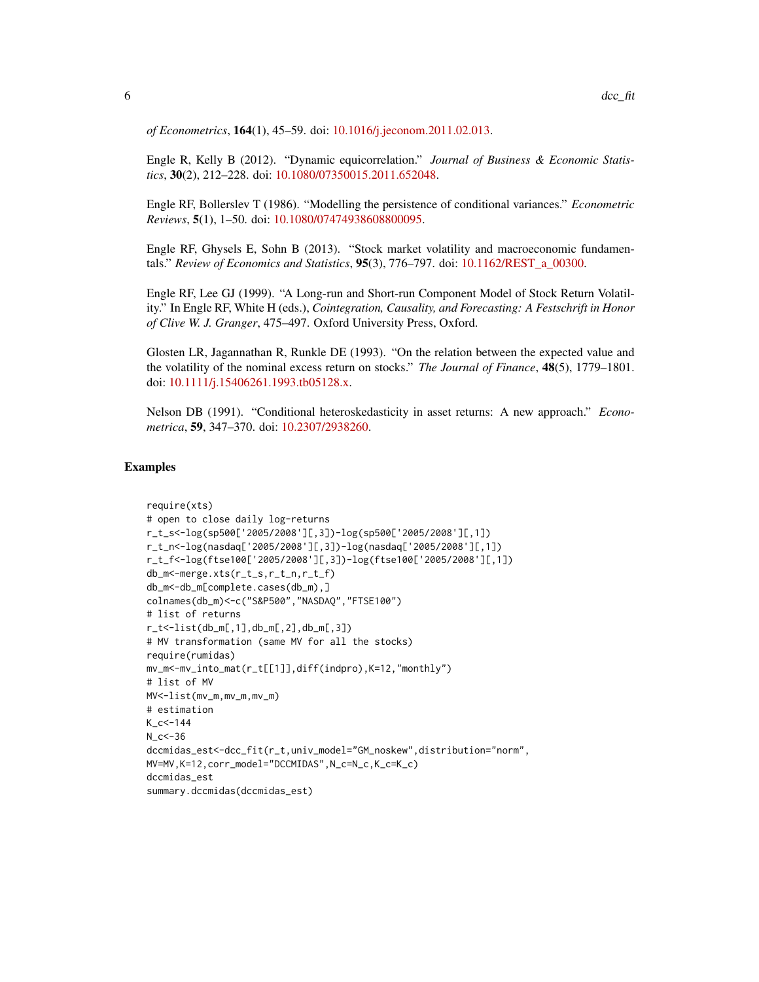*of Econometrics*, 164(1), 45–59. doi: [10.1016/j.jeconom.2011.02.013.](https://doi.org/10.1016/j.jeconom.2011.02.013)

Engle R, Kelly B (2012). "Dynamic equicorrelation." *Journal of Business & Economic Statistics*, 30(2), 212–228. doi: [10.1080/07350015.2011.652048.](https://doi.org/10.1080/07350015.2011.652048)

Engle RF, Bollerslev T (1986). "Modelling the persistence of conditional variances." *Econometric Reviews*, 5(1), 1–50. doi: [10.1080/07474938608800095.](https://doi.org/10.1080/07474938608800095)

Engle RF, Ghysels E, Sohn B (2013). "Stock market volatility and macroeconomic fundamentals." *Review of Economics and Statistics*, 95(3), 776–797. doi: [10.1162/REST\\_a\\_00300.](https://doi.org/10.1162/REST_a_00300)

Engle RF, Lee GJ (1999). "A Long-run and Short-run Component Model of Stock Return Volatility." In Engle RF, White H (eds.), *Cointegration, Causality, and Forecasting: A Festschrift in Honor of Clive W. J. Granger*, 475–497. Oxford University Press, Oxford.

Glosten LR, Jagannathan R, Runkle DE (1993). "On the relation between the expected value and the volatility of the nominal excess return on stocks." *The Journal of Finance*, 48(5), 1779–1801. doi: [10.1111/j.15406261.1993.tb05128.x.](https://doi.org/10.1111/j.1540-6261.1993.tb05128.x)

Nelson DB (1991). "Conditional heteroskedasticity in asset returns: A new approach." *Econometrica*, 59, 347–370. doi: [10.2307/2938260.](https://doi.org/10.2307/2938260)

#### Examples

```
require(xts)
# open to close daily log-returns
r_t_s<-log(sp500['2005/2008'][,3])-log(sp500['2005/2008'][,1])
r_t_n<-log(nasdaq['2005/2008'][,3])-log(nasdaq['2005/2008'][,1])
r_t_f<-log(ftse100['2005/2008'][,3])-log(ftse100['2005/2008'][,1])
db_m<-merge.xts(r_t_s,r_t_n,r_t_f)
db_m<-db_m[complete.cases(db_m),]
colnames(db_m)<-c("S&P500","NASDAQ","FTSE100")
# list of returns
r_t<-list(db_m[,1],db_m[,2],db_m[,3])
# MV transformation (same MV for all the stocks)
require(rumidas)
mv_m<-mv_into_mat(r_t[[1]],diff(indpro),K=12,"monthly")
# list of MV
MV<-list(mv_m,mv_m,mv_m)
# estimation
K_cc<-144
N_{C} < -36dccmidas_est<-dcc_fit(r_t,univ_model="GM_noskew",distribution="norm",
MV=MV,K=12,corr_model="DCCMIDAS",N_c=N_c,K_c=K_c)
dccmidas_est
summary.dccmidas(dccmidas_est)
```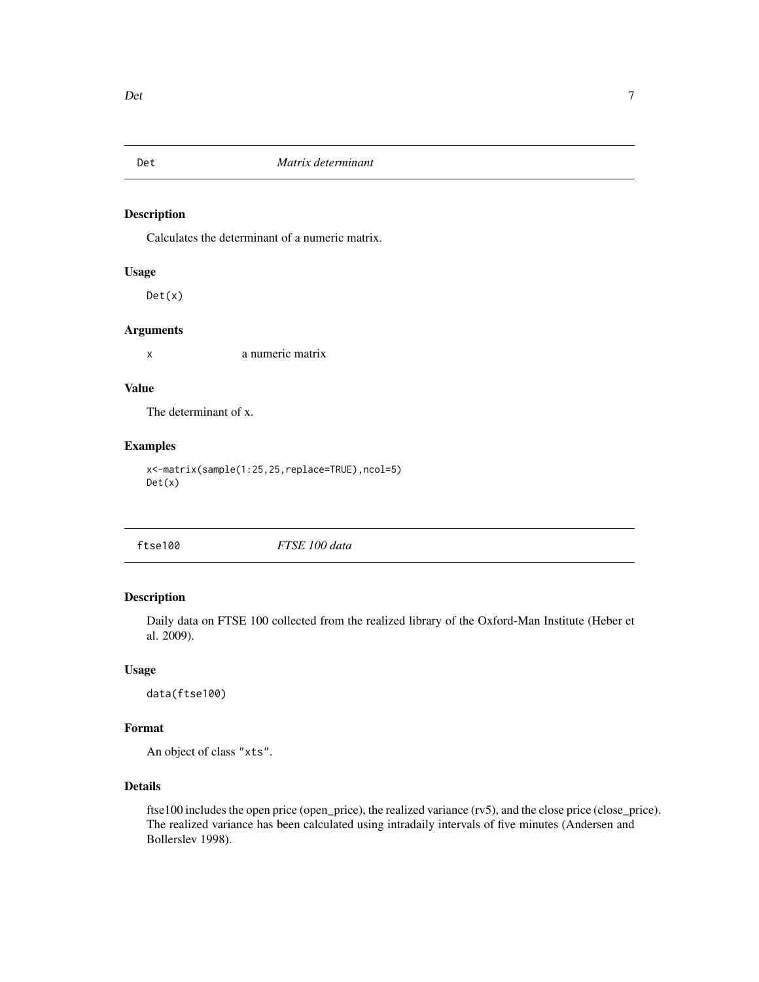<span id="page-6-0"></span>

#### Description

Calculates the determinant of a numeric matrix.

#### Usage

 $Det(x)$ 

#### Arguments

x a numeric matrix

#### Value

The determinant of x.

#### Examples

x<-matrix(sample(1:25,25,replace=TRUE),ncol=5) Det(x)

| ftse100 | FTSE 100 data |  |
|---------|---------------|--|

#### Description

Daily data on FTSE 100 collected from the realized library of the Oxford-Man Institute (Heber et al. 2009).

#### Usage

data(ftse100)

#### Format

An object of class "xts".

#### Details

ftse100 includes the open price (open\_price), the realized variance (rv5), and the close price (close\_price). The realized variance has been calculated using intradaily intervals of five minutes (Andersen and Bollerslev 1998).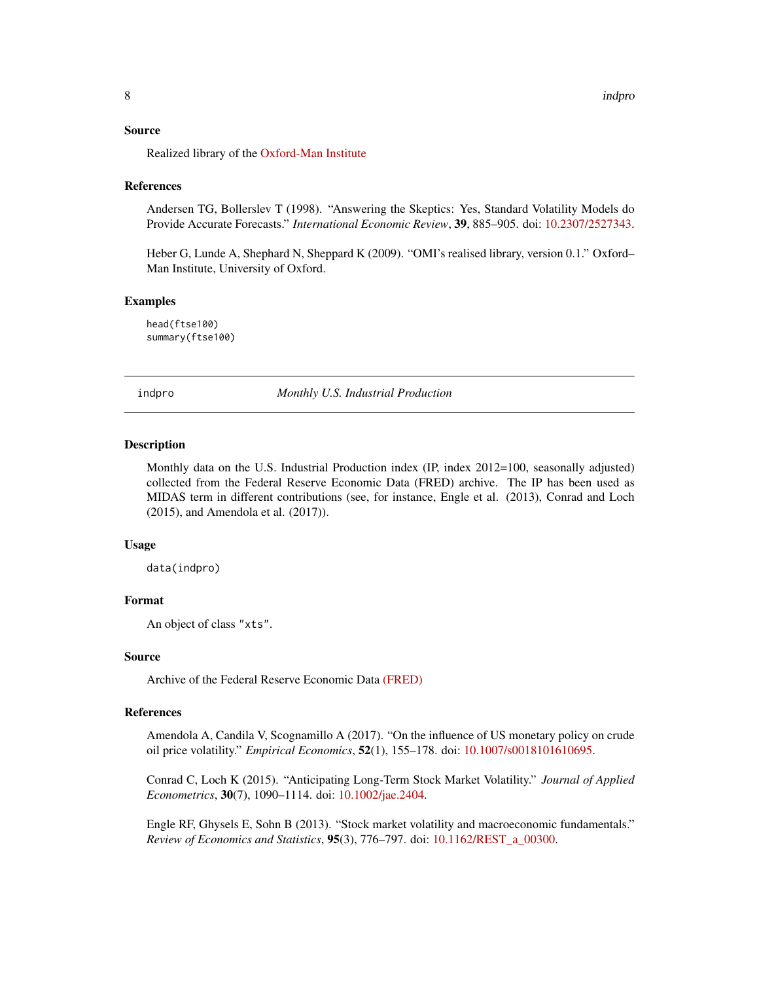#### <span id="page-7-0"></span>Source

Realized library of the [Oxford-Man Institute](https://realized.oxford-man.ox.ac.uk/data/download)

#### References

Andersen TG, Bollerslev T (1998). "Answering the Skeptics: Yes, Standard Volatility Models do Provide Accurate Forecasts." *International Economic Review*, 39, 885–905. doi: [10.2307/2527343.](https://doi.org/10.2307/2527343)

Heber G, Lunde A, Shephard N, Sheppard K (2009). "OMI's realised library, version 0.1." Oxford– Man Institute, University of Oxford.

#### Examples

head(ftse100) summary(ftse100)

indpro *Monthly U.S. Industrial Production*

#### **Description**

Monthly data on the U.S. Industrial Production index (IP, index 2012=100, seasonally adjusted) collected from the Federal Reserve Economic Data (FRED) archive. The IP has been used as MIDAS term in different contributions (see, for instance, Engle et al. (2013), Conrad and Loch (2015), and Amendola et al. (2017)).

#### Usage

data(indpro)

#### Format

An object of class "xts".

#### Source

Archive of the Federal Reserve Economic Data [\(FRED\)](https://fred.stlouisfed.org/series/INDPRO)

#### References

Amendola A, Candila V, Scognamillo A (2017). "On the influence of US monetary policy on crude oil price volatility." *Empirical Economics*, 52(1), 155–178. doi: [10.1007/s0018101610695.](https://doi.org/10.1007/s00181-016-1069-5)

Conrad C, Loch K (2015). "Anticipating Long-Term Stock Market Volatility." *Journal of Applied Econometrics*, 30(7), 1090–1114. doi: [10.1002/jae.2404.](https://doi.org/10.1002/jae.2404)

Engle RF, Ghysels E, Sohn B (2013). "Stock market volatility and macroeconomic fundamentals." *Review of Economics and Statistics*, 95(3), 776–797. doi: [10.1162/REST\\_a\\_00300.](https://doi.org/10.1162/REST_a_00300)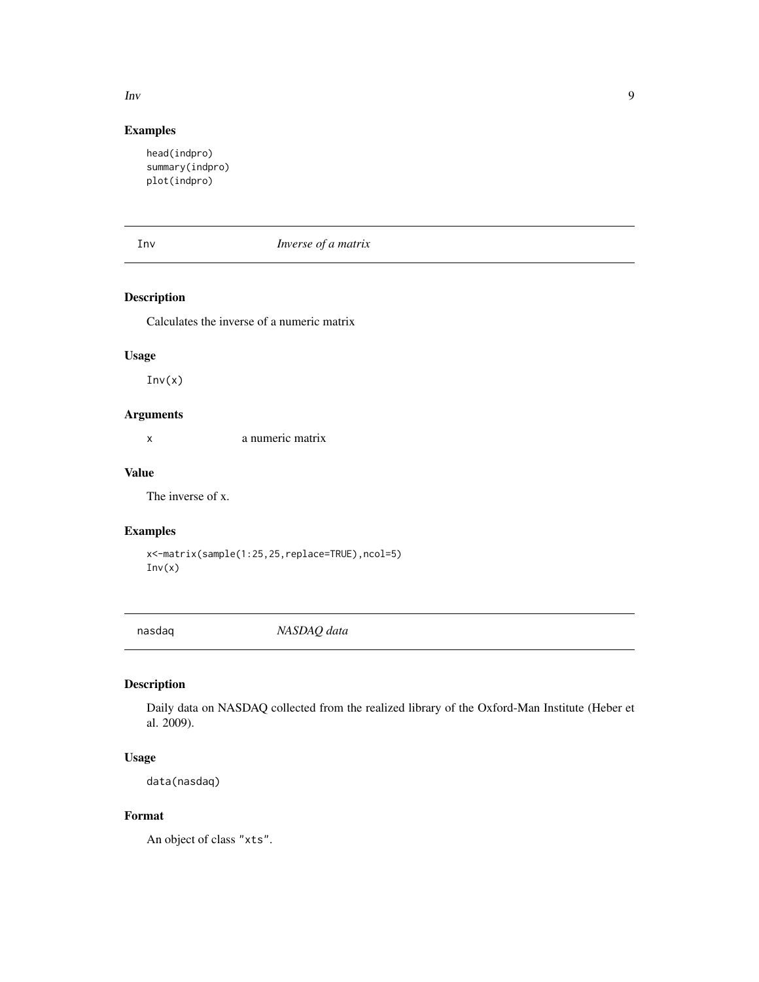#### <span id="page-8-0"></span> $\mathbf{I}$ nv  $\mathbf{9}$

#### Examples

```
head(indpro)
summary(indpro)
plot(indpro)
```
#### Inv *Inverse of a matrix*

#### Description

Calculates the inverse of a numeric matrix

#### Usage

 $Inv(x)$ 

#### Arguments

x a numeric matrix

#### Value

The inverse of x.

#### Examples

```
x<-matrix(sample(1:25,25,replace=TRUE),ncol=5)
Inv(x)
```
nasdaq *NASDAQ data*

#### Description

Daily data on NASDAQ collected from the realized library of the Oxford-Man Institute (Heber et al. 2009).

### Usage

data(nasdaq)

#### Format

An object of class "xts".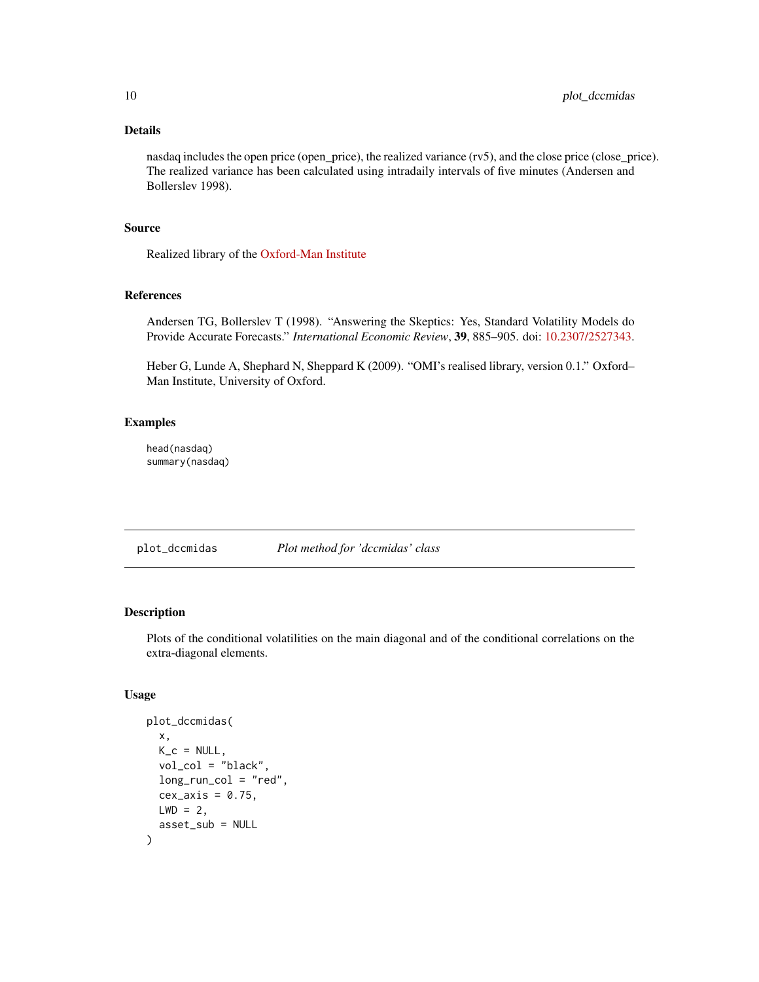#### <span id="page-9-0"></span>Details

nasdaq includes the open price (open\_price), the realized variance (rv5), and the close price (close\_price). The realized variance has been calculated using intradaily intervals of five minutes (Andersen and Bollerslev 1998).

#### Source

Realized library of the [Oxford-Man Institute](https://realized.oxford-man.ox.ac.uk/data/download)

#### References

Andersen TG, Bollerslev T (1998). "Answering the Skeptics: Yes, Standard Volatility Models do Provide Accurate Forecasts." *International Economic Review*, 39, 885–905. doi: [10.2307/2527343.](https://doi.org/10.2307/2527343)

Heber G, Lunde A, Shephard N, Sheppard K (2009). "OMI's realised library, version 0.1." Oxford– Man Institute, University of Oxford.

#### Examples

head(nasdaq) summary(nasdaq)

plot\_dccmidas *Plot method for 'dccmidas' class*

#### Description

Plots of the conditional volatilities on the main diagonal and of the conditional correlations on the extra-diagonal elements.

#### Usage

```
plot_dccmidas(
  x,
 K_c = NULL,vol_col = "black",
  long\_run\_col = "red",cex_axis = 0.75,
 LWD = 2,asset_sub = NULL
)
```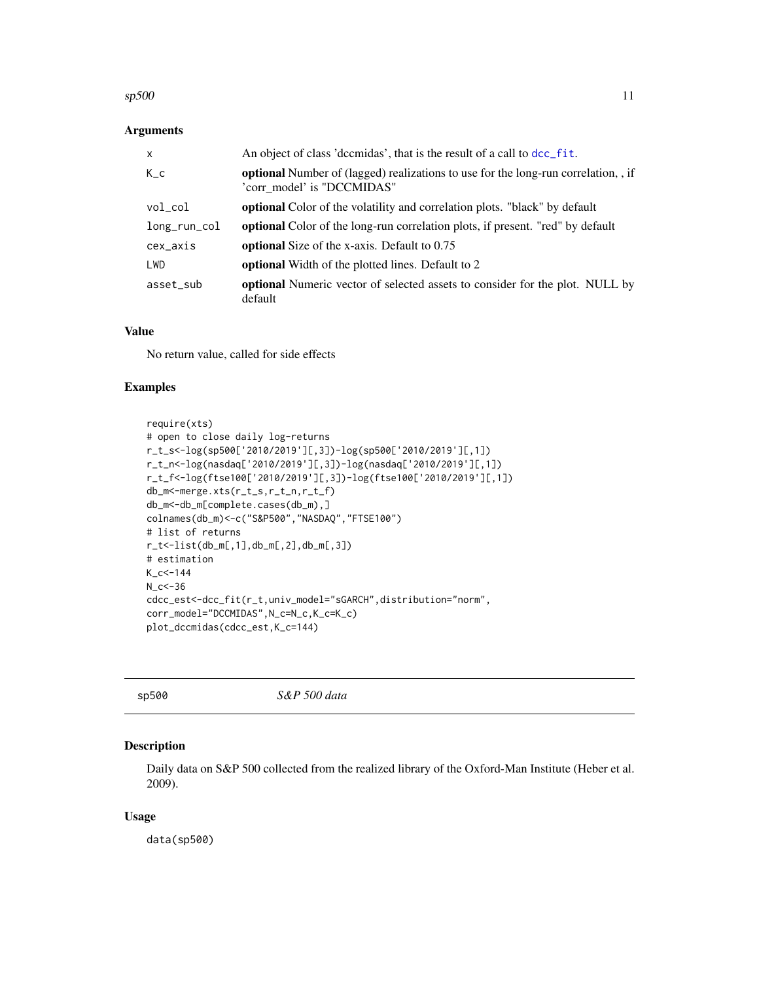#### <span id="page-10-0"></span> $\frac{11}{11}$

#### Arguments

| $\mathsf{x}$ | An object of class 'dccmidas', that is the result of a call to dcc_fit.                                               |
|--------------|-----------------------------------------------------------------------------------------------------------------------|
| $K_{-}c$     | <b>optional</b> Number of (lagged) realizations to use for the long-run correlation, if<br>'corr model' is "DCCMIDAS" |
| $vol\_col$   | optional Color of the volatility and correlation plots. "black" by default                                            |
| long_run_col | <b>optional</b> Color of the long-run correlation plots, if present. "red" by default                                 |
| cex_axis     | <b>optional</b> Size of the x-axis. Default to 0.75                                                                   |
| LWD          | <b>optional</b> Width of the plotted lines. Default to 2                                                              |
| asset_sub    | <b>optional</b> Numeric vector of selected assets to consider for the plot. NULL by<br>default                        |

#### Value

No return value, called for side effects

#### Examples

```
require(xts)
# open to close daily log-returns
r_t_s<-log(sp500['2010/2019'][,3])-log(sp500['2010/2019'][,1])
r_t_n<-log(nasdaq['2010/2019'][,3])-log(nasdaq['2010/2019'][,1])
r_t_f<-log(ftse100['2010/2019'][,3])-log(ftse100['2010/2019'][,1])
db_m<-merge.xts(r_t_s,r_t_n,r_t_f)
db_m<-db_m[complete.cases(db_m),]
colnames(db_m)<-c("S&P500","NASDAQ","FTSE100")
# list of returns
r_t<-list(db_m[,1],db_m[,2],db_m[,3])
# estimation
K_c < -144N_{C} < -36cdcc_est<-dcc_fit(r_t,univ_model="sGARCH",distribution="norm",
corr_model="DCCMIDAS",N_c=N_c,K_c=K_c)
plot_dccmidas(cdcc_est,K_c=144)
```
sp500 *S&P 500 data*

#### Description

Daily data on S&P 500 collected from the realized library of the Oxford-Man Institute (Heber et al. 2009).

#### Usage

data(sp500)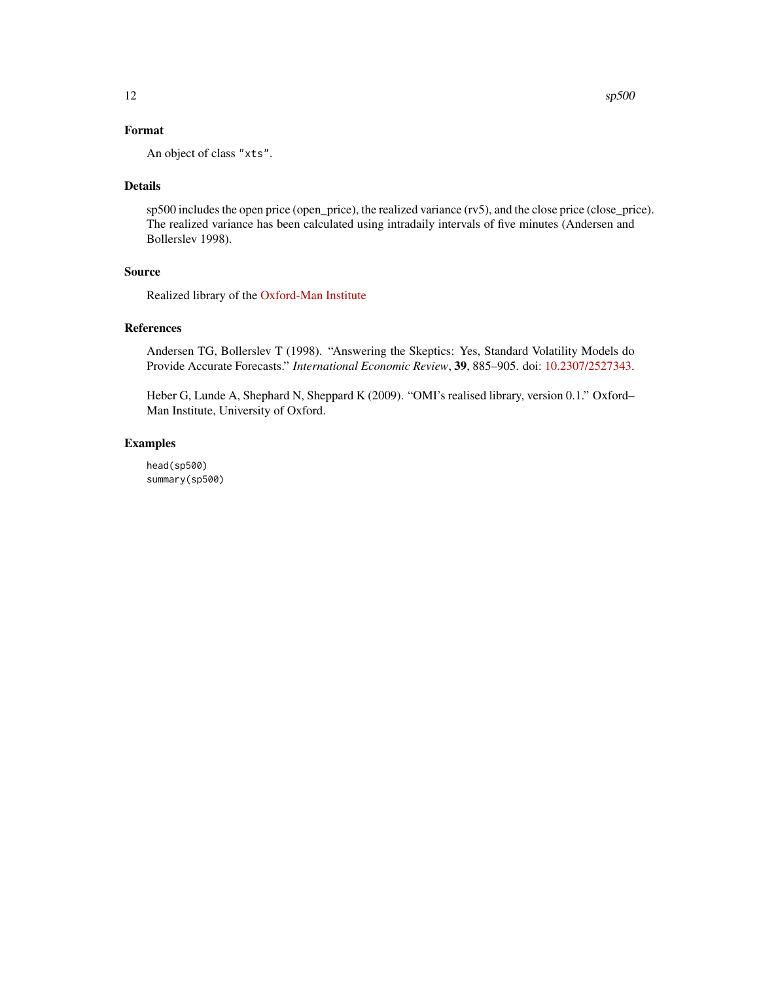An object of class "xts".

#### Details

sp500 includes the open price (open\_price), the realized variance (rv5), and the close price (close\_price). The realized variance has been calculated using intradaily intervals of five minutes (Andersen and Bollerslev 1998).

#### Source

Realized library of the [Oxford-Man Institute](https://realized.oxford-man.ox.ac.uk/data/download)

#### References

Andersen TG, Bollerslev T (1998). "Answering the Skeptics: Yes, Standard Volatility Models do Provide Accurate Forecasts." *International Economic Review*, 39, 885–905. doi: [10.2307/2527343.](https://doi.org/10.2307/2527343)

Heber G, Lunde A, Shephard N, Sheppard K (2009). "OMI's realised library, version 0.1." Oxford– Man Institute, University of Oxford.

#### Examples

head(sp500) summary(sp500)